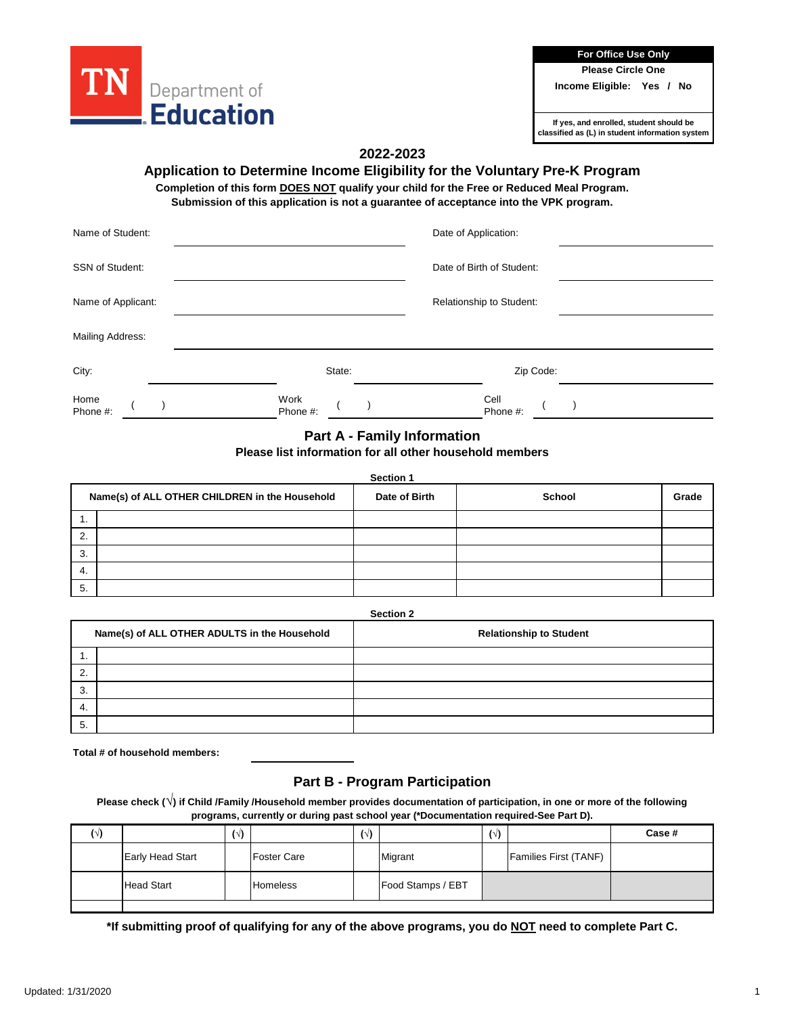

**For Office Use Only**

**Please Circle One**

**Income Eligible: Yes / No**

**If yes, and enrolled, student should be classified as (L) in student information system**

# **2022-2023**

### **Application to Determine Income Eligibility for the Voluntary Pre-K Program**

**Completion of this form DOES NOT qualify your child for the Free or Reduced Meal Program. Submission of this application is not a guarantee of acceptance into the VPK program.**

| Name of Student:       |                  | Date of Application:      |  |
|------------------------|------------------|---------------------------|--|
| <b>SSN of Student:</b> |                  | Date of Birth of Student: |  |
| Name of Applicant:     |                  | Relationship to Student:  |  |
| Mailing Address:       |                  |                           |  |
| City:                  | State:           | Zip Code:                 |  |
| Home<br>Phone #:       | Work<br>Phone #: | Cell<br>Phone #:          |  |

# **Part A - Family Information**

## **Please list information for all other household members**

#### **Section 1**

|    | Name(s) of ALL OTHER CHILDREN in the Household | Date of Birth | School | Grade |
|----|------------------------------------------------|---------------|--------|-------|
|    |                                                |               |        |       |
| 2. |                                                |               |        |       |
| 3. |                                                |               |        |       |
| 4. |                                                |               |        |       |
| 5. |                                                |               |        |       |

**Section 2**

|                | Name(s) of ALL OTHER ADULTS in the Household | <b>Relationship to Student</b> |
|----------------|----------------------------------------------|--------------------------------|
|                |                                              |                                |
| $\overline{2}$ |                                              |                                |
| 3.             |                                              |                                |
| 4.             |                                              |                                |
| 5              |                                              |                                |

**Total # of household members:**

# **Part B - Program Participation**

**Please check (√) if Child /Family /Household member provides documentation of participation, in one or more of the following programs, currently or during past school year (\*Documentation required-See Part D).**

|                         | $(\vee)$ |                    | $(\vee)$ |                   | $(\vee)$ |                              | Case # |
|-------------------------|----------|--------------------|----------|-------------------|----------|------------------------------|--------|
| <b>Early Head Start</b> |          | <b>Foster Care</b> |          | Migrant           |          | <b>Families First (TANF)</b> |        |
| <b>Head Start</b>       |          | <b>Homeless</b>    |          | Food Stamps / EBT |          |                              |        |

**\*If submitting proof of qualifying for any of the above programs, you do NOT need to complete Part C.**